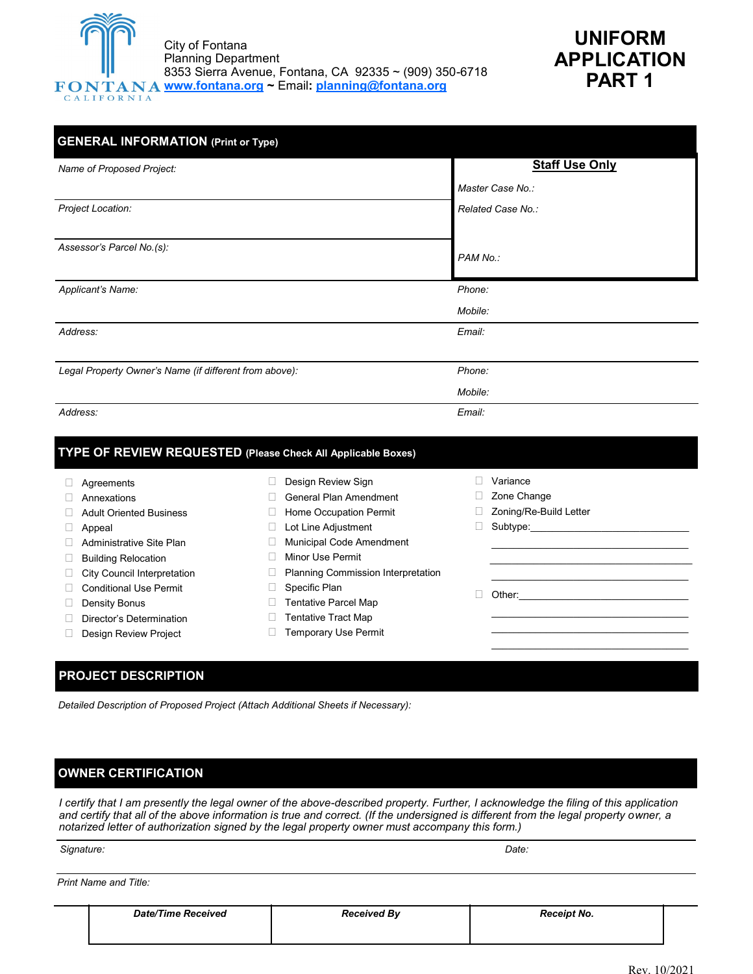



| <b>GENERAL INFORMATION (Print or Type)</b>             |                       |  |  |  |  |
|--------------------------------------------------------|-----------------------|--|--|--|--|
| Name of Proposed Project:                              | <b>Staff Use Only</b> |  |  |  |  |
|                                                        | Master Case No.:      |  |  |  |  |
| Project Location:                                      | Related Case No.:     |  |  |  |  |
| Assessor's Parcel No.(s):                              | PAM No.:              |  |  |  |  |
| Applicant's Name:                                      | Phone:                |  |  |  |  |
|                                                        | Mobile:               |  |  |  |  |
| Address:                                               | Email:                |  |  |  |  |
| Legal Property Owner's Name (if different from above): | Phone:                |  |  |  |  |
|                                                        | Mobile:               |  |  |  |  |
| Address:                                               | Email:                |  |  |  |  |

|                                    |                                           | Variance               |
|------------------------------------|-------------------------------------------|------------------------|
| Agreements                         | Design Review Sign                        |                        |
| Annexations                        | General Plan Amendment                    | Zone Change            |
| <b>Adult Oriented Business</b>     | Home Occupation Permit                    | Zoning/Re-Build Letter |
| Appeal                             | Lot Line Adjustment                       | Subtype:               |
| Administrative Site Plan           | Municipal Code Amendment                  |                        |
| <b>Building Relocation</b>         | Minor Use Permit                          |                        |
| <b>City Council Interpretation</b> | <b>Planning Commission Interpretation</b> |                        |
| Conditional Use Permit             | Specific Plan                             | Other:                 |
| Density Bonus                      | <b>Tentative Parcel Map</b>               |                        |
| Director's Determination           | <b>Tentative Tract Map</b>                |                        |
| Design Review Project              | <b>Temporary Use Permit</b>               |                        |
|                                    |                                           |                        |

## **PROJECT DESCRIPTION**

*Detailed Description of Proposed Project (Attach Additional Sheets if Necessary):*

## **OWNER CERTIFICATION**

*I certify that I am presently the legal owner of the above-described property. Further, I acknowledge the filing of this application and certify that all of the above information is true and correct. (If the undersigned is different from the legal property owner, a notarized letter of authorization signed by the legal property owner must accompany this form.)*

*Signature: Date:*

*Print Name and Title:*

| <b>Date/Time Received</b> | <b>Received By</b> | <b>Receipt No.</b> |  |
|---------------------------|--------------------|--------------------|--|
|                           |                    |                    |  |
|                           |                    |                    |  |